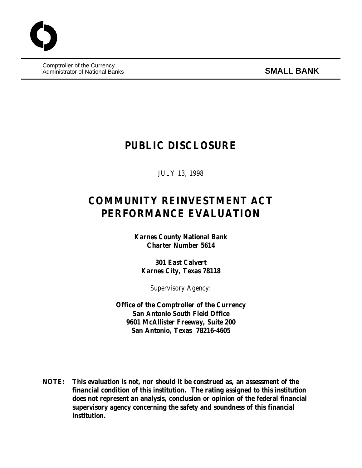Comptroller of the Currency Administrator of National Banks **SMALL BANK**

## **PUBLIC DISCLOSURE**

JULY 13, 1998

# **COMMUNITY REINVESTMENT ACT PERFORMANCE EVALUATION**

**Karnes County National Bank Charter Number 5614**

**301 East Calvert Karnes City, Texas 78118**

Supervisory Agency:

**Office of the Comptroller of the Currency San Antonio South Field Office 9601 McAllister Freeway, Suite 200 San Antonio, Texas 78216-4605**

**NOTE: This evaluation is not, nor should it be construed as, an assessment of the financial condition of this institution. The rating assigned to this institution does not represent an analysis, conclusion or opinion of the federal financial supervisory agency concerning the safety and soundness of this financial institution.**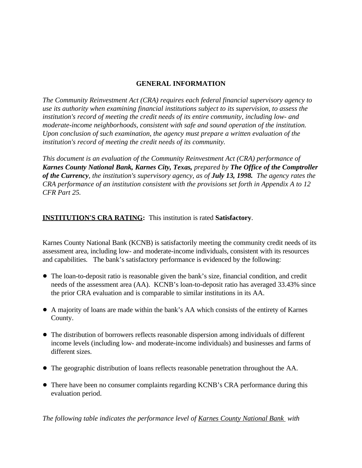## **GENERAL INFORMATION**

*The Community Reinvestment Act (CRA) requires each federal financial supervisory agency to use its authority when examining financial institutions subject to its supervision, to assess the institution's record of meeting the credit needs of its entire community, including low- and moderate-income neighborhoods, consistent with safe and sound operation of the institution. Upon conclusion of such examination, the agency must prepare a written evaluation of the institution's record of meeting the credit needs of its community.* 

*This document is an evaluation of the Community Reinvestment Act (CRA) performance of Karnes County National Bank, Karnes City, Texas, prepared by The Office of the Comptroller of the Currency, the institution's supervisory agency, as of July 13, 1998. The agency rates the CRA performance of an institution consistent with the provisions set forth in Appendix A to 12 CFR Part 25.*

## **INSTITUTION'S CRA RATING:** This institution is rated **Satisfactory**.

Karnes County National Bank (KCNB) is satisfactorily meeting the community credit needs of its assessment area, including low- and moderate-income individuals, consistent with its resources and capabilities. The bank's satisfactory performance is evidenced by the following:

- The loan-to-deposit ratio is reasonable given the bank's size, financial condition, and credit needs of the assessment area (AA). KCNB's loan-to-deposit ratio has averaged 33.43% since the prior CRA evaluation and is comparable to similar institutions in its AA.
- ! A majority of loans are made within the bank's AA which consists of the entirety of Karnes County.
- The distribution of borrowers reflects reasonable dispersion among individuals of different income levels (including low- and moderate-income individuals) and businesses and farms of different sizes.
- ! The geographic distribution of loans reflects reasonable penetration throughout the AA.
- There have been no consumer complaints regarding KCNB's CRA performance during this evaluation period.

*The following table indicates the performance level of Karnes County National Bank with*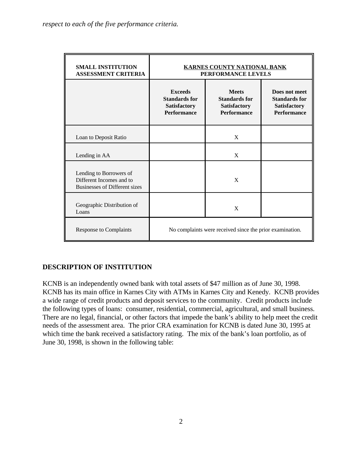| <b>SMALL INSTITUTION</b><br><b>ASSESSMENT CRITERIA</b>                               | <b>KARNES COUNTY NATIONAL BANK</b><br>PERFORMANCE LEVELS                            |                                                                                   |  |  |  |  |  |
|--------------------------------------------------------------------------------------|-------------------------------------------------------------------------------------|-----------------------------------------------------------------------------------|--|--|--|--|--|
|                                                                                      | <b>Exceeds</b><br><b>Standards for</b><br><b>Satisfactory</b><br><b>Performance</b> | <b>Meets</b><br><b>Standards for</b><br><b>Satisfactory</b><br><b>Performance</b> |  |  |  |  |  |
| Loan to Deposit Ratio                                                                |                                                                                     | X                                                                                 |  |  |  |  |  |
| Lending in AA                                                                        |                                                                                     | X                                                                                 |  |  |  |  |  |
| Lending to Borrowers of<br>Different Incomes and to<br>Businesses of Different sizes |                                                                                     | X                                                                                 |  |  |  |  |  |
| Geographic Distribution of<br>Loans                                                  |                                                                                     | X                                                                                 |  |  |  |  |  |
| <b>Response to Complaints</b>                                                        | No complaints were received since the prior examination.                            |                                                                                   |  |  |  |  |  |

## **DESCRIPTION OF INSTITUTION**

KCNB is an independently owned bank with total assets of \$47 million as of June 30, 1998. KCNB has its main office in Karnes City with ATMs in Karnes City and Kenedy. KCNB provides a wide range of credit products and deposit services to the community. Credit products include the following types of loans: consumer, residential, commercial, agricultural, and small business. There are no legal, financial, or other factors that impede the bank's ability to help meet the credit needs of the assessment area. The prior CRA examination for KCNB is dated June 30, 1995 at which time the bank received a satisfactory rating. The mix of the bank's loan portfolio, as of June 30, 1998, is shown in the following table: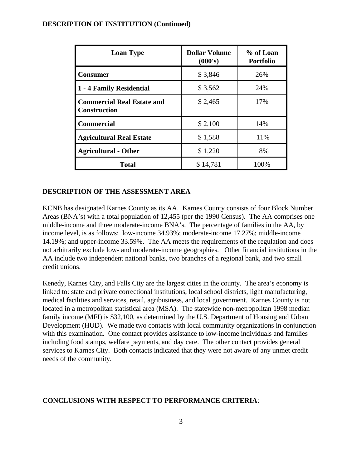#### **DESCRIPTION OF INSTITUTION (Continued)**

| <b>Loan Type</b>                                         | <b>Dollar Volume</b><br>(000's) | % of Loan<br><b>Portfolio</b> |
|----------------------------------------------------------|---------------------------------|-------------------------------|
| Consumer                                                 | \$3,846                         | 26%                           |
| 1 - 4 Family Residential                                 | \$3,562                         | 24%                           |
| <b>Commercial Real Estate and</b><br><b>Construction</b> | \$2,465                         | 17%                           |
| <b>Commercial</b>                                        | \$2,100                         | 14%                           |
| <b>Agricultural Real Estate</b>                          | \$1,588                         | 11%                           |
| <b>Agricultural - Other</b>                              | \$1,220                         | 8%                            |
| <b>Total</b>                                             | \$14,781                        | 100%                          |

#### **DESCRIPTION OF THE ASSESSMENT AREA**

KCNB has designated Karnes County as its AA. Karnes County consists of four Block Number Areas (BNA's) with a total population of 12,455 (per the 1990 Census). The AA comprises one middle-income and three moderate-income BNA's. The percentage of families in the AA, by income level, is as follows: low-income 34.93%; moderate-income 17.27%; middle-income 14.19%; and upper-income 33.59%. The AA meets the requirements of the regulation and does not arbitrarily exclude low- and moderate-income geographies. Other financial institutions in the AA include two independent national banks, two branches of a regional bank, and two small credit unions.

Kenedy, Karnes City, and Falls City are the largest cities in the county. The area's economy is linked to: state and private correctional institutions, local school districts, light manufacturing, medical facilities and services, retail, agribusiness, and local government. Karnes County is not located in a metropolitan statistical area (MSA). The statewide non-metropolitan 1998 median family income (MFI) is \$32,100, as determined by the U.S. Department of Housing and Urban Development (HUD). We made two contacts with local community organizations in conjunction with this examination. One contact provides assistance to low-income individuals and families including food stamps, welfare payments, and day care. The other contact provides general services to Karnes City. Both contacts indicated that they were not aware of any unmet credit needs of the community.

#### **CONCLUSIONS WITH RESPECT TO PERFORMANCE CRITERIA**: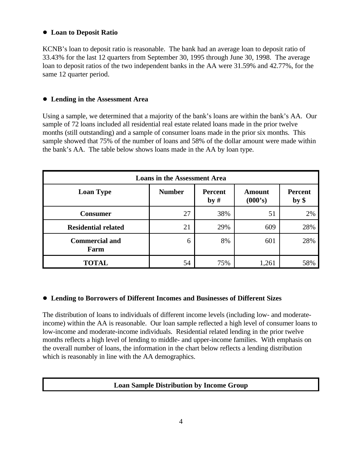## ! **Loan to Deposit Ratio**

KCNB's loan to deposit ratio is reasonable. The bank had an average loan to deposit ratio of 33.43% for the last 12 quarters from September 30, 1995 through June 30, 1998. The average loan to deposit ratios of the two independent banks in the AA were 31.59% and 42.77%, for the same 12 quarter period.

## ! **Lending in the Assessment Area**

Using a sample, we determined that a majority of the bank's loans are within the bank's AA. Our sample of 72 loans included all residential real estate related loans made in the prior twelve months (still outstanding) and a sample of consumer loans made in the prior six months. This sample showed that 75% of the number of loans and 58% of the dollar amount were made within the bank's AA. The table below shows loans made in the AA by loan type.

| <b>Loans in the Assessment Area</b> |               |                       |                          |                           |  |  |  |  |  |
|-------------------------------------|---------------|-----------------------|--------------------------|---------------------------|--|--|--|--|--|
| <b>Loan Type</b>                    | <b>Number</b> | <b>Percent</b><br>by# | <b>Amount</b><br>(000's) | <b>Percent</b><br>$by$ \$ |  |  |  |  |  |
| <b>Consumer</b>                     | 27            | 38%                   | 51                       | 2%                        |  |  |  |  |  |
| <b>Residential related</b>          | 21            | 29%                   | 609                      | 28%                       |  |  |  |  |  |
| <b>Commercial and</b><br>Farm       | 6             | 8%                    | 601                      | 28%                       |  |  |  |  |  |
| <b>TOTAL</b>                        | 54            | 75%                   | 1,261                    | 58%                       |  |  |  |  |  |

#### ! **Lending to Borrowers of Different Incomes and Businesses of Different Sizes**

The distribution of loans to individuals of different income levels (including low- and moderateincome) within the AA is reasonable. Our loan sample reflected a high level of consumer loans to low-income and moderate-income individuals. Residential related lending in the prior twelve months reflects a high level of lending to middle- and upper-income families. With emphasis on the overall number of loans, the information in the chart below reflects a lending distribution which is reasonably in line with the AA demographics.

## **Loan Sample Distribution by Income Group**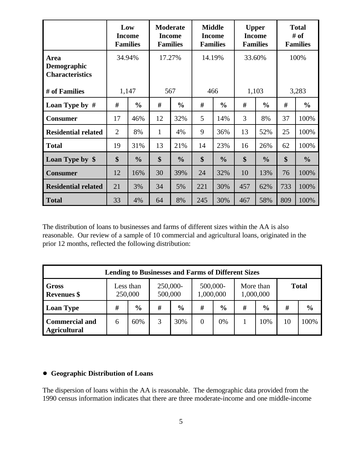|                                                      | Low<br><b>Families</b> | <b>Income</b> |                   | <b>Moderate</b><br><b>Income</b><br><b>Families</b> | <b>Income</b><br><b>Families</b> | <b>Middle</b> | <b>Upper</b><br><b>Income</b><br><b>Families</b> |               | <b>Total</b><br># of<br><b>Families</b> |               |
|------------------------------------------------------|------------------------|---------------|-------------------|-----------------------------------------------------|----------------------------------|---------------|--------------------------------------------------|---------------|-----------------------------------------|---------------|
| Area<br><b>Demographic</b><br><b>Characteristics</b> | 34.94%                 |               | 17.27%            |                                                     | 14.19%                           |               | 33.60%                                           |               | 100%                                    |               |
| # of Families                                        | 1,147                  |               | 567               |                                                     | 466                              |               | 1,103                                            |               | 3,283                                   |               |
| Loan Type by $#$                                     | #                      | $\frac{0}{0}$ | #                 | $\frac{0}{0}$                                       | #                                | $\frac{0}{0}$ | #                                                | $\frac{0}{0}$ | #                                       | $\frac{0}{0}$ |
| <b>Consumer</b>                                      | 17                     | 46%           | 12                | 32%                                                 | 5                                | 14%           | 3                                                | 8%            | 37                                      | 100%          |
| <b>Residential related</b>                           | $\overline{2}$         | 8%            | $\mathbf{1}$      | 4%                                                  | 9                                | 36%           | 13                                               | 52%           | 25                                      | 100%          |
| <b>Total</b>                                         | 19                     | 31%           | 13                | 21%                                                 | 14                               | 23%           | 16                                               | 26%           | 62                                      | 100%          |
| Loan Type by \$                                      | \$                     | $\frac{0}{0}$ | $\boldsymbol{\$}$ | $\frac{0}{0}$                                       | \$                               | $\frac{0}{0}$ | $\boldsymbol{\mathsf{S}}$                        | $\frac{0}{0}$ | \$                                      | $\frac{0}{0}$ |
| <b>Consumer</b>                                      | 12                     | 16%           | 30                | 39%                                                 | 24                               | 32%           | 10                                               | 13%           | 76                                      | 100%          |
| <b>Residential related</b>                           | 21                     | 3%            | 34                | 5%                                                  | 221                              | 30%           | 457                                              | 62%           | 733                                     | 100%          |
| <b>Total</b>                                         | 33                     | 4%            | 64                | 8%                                                  | 245                              | 30%           | 467                                              | 58%           | 809                                     | 100%          |

The distribution of loans to businesses and farms of different sizes within the AA is also reasonable. Our review of a sample of 10 commercial and agricultural loans, originated in the prior 12 months, reflected the following distribution:

| <b>Lending to Businesses and Farms of Different Sizes</b> |                      |               |                     |               |                       |               |                        |               |              |               |
|-----------------------------------------------------------|----------------------|---------------|---------------------|---------------|-----------------------|---------------|------------------------|---------------|--------------|---------------|
| Gross<br><b>Revenues</b> \$                               | Less than<br>250,000 |               | 250,000-<br>500,000 |               | 500,000-<br>1,000,000 |               | More than<br>1,000,000 |               | <b>Total</b> |               |
| <b>Loan Type</b>                                          | #                    | $\frac{6}{9}$ | #                   | $\frac{0}{0}$ | #                     | $\frac{6}{6}$ | #                      | $\frac{0}{0}$ | #            | $\frac{6}{6}$ |
| <b>Commercial and</b><br><b>Agricultural</b>              | 6                    | 60%           |                     | 30%           |                       | 0%            |                        | 10%           | 10           | 100%          |

#### ! **Geographic Distribution of Loans**

The dispersion of loans within the AA is reasonable. The demographic data provided from the 1990 census information indicates that there are three moderate-income and one middle-income